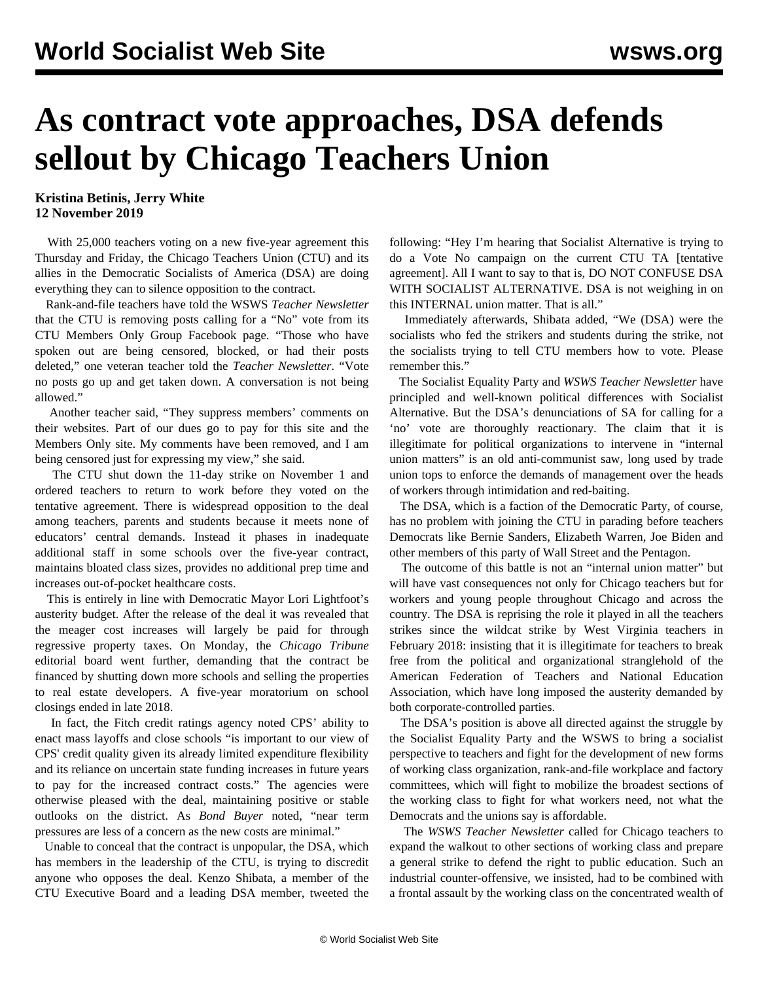## **As contract vote approaches, DSA defends sellout by Chicago Teachers Union**

**Kristina Betinis, Jerry White 12 November 2019**

 With 25,000 teachers voting on a new five-year agreement this Thursday and Friday, the Chicago Teachers Union (CTU) and its allies in the Democratic Socialists of America (DSA) are doing everything they can to silence opposition to the contract.

 Rank-and-file teachers have told the WSWS *Teacher Newsletter* that the CTU is removing posts calling for a "No" vote from its CTU Members Only Group Facebook page. "Those who have spoken out are being censored, blocked, or had their posts deleted," one veteran teacher told the *Teacher Newsletter*. "Vote no posts go up and get taken down. A conversation is not being allowed."

 Another teacher said, "They suppress members' comments on their websites. Part of our dues go to pay for this site and the Members Only site. My comments have been removed, and I am being censored just for expressing my view," she said.

 The CTU shut down the 11-day strike on November 1 and ordered teachers to return to work before they voted on the tentative agreement. There is widespread opposition to the deal among teachers, parents and students because it meets none of educators' central demands. Instead it phases in inadequate additional staff in some schools over the five-year contract, maintains bloated class sizes, provides no additional prep time and increases out-of-pocket healthcare costs.

 This is entirely in line with Democratic Mayor Lori Lightfoot's austerity budget. After the release of the deal it was revealed that the meager cost increases will largely be paid for through regressive property taxes. On Monday, the *Chicago Tribune* editorial board went further, demanding that the contract be financed by shutting down more schools and selling the properties to real estate developers. A five-year moratorium on school closings ended in late 2018.

 In fact, the Fitch credit ratings agency noted CPS' ability to enact mass layoffs and close schools "is important to our view of CPS' credit quality given its already limited expenditure flexibility and its reliance on uncertain state funding increases in future years to pay for the increased contract costs." The agencies were otherwise pleased with the deal, maintaining positive or stable outlooks on the district. As *Bond Buyer* noted, "near term pressures are less of a concern as the new costs are minimal."

 Unable to conceal that the contract is unpopular, the DSA, which has members in the leadership of the CTU, is trying to discredit anyone who opposes the deal. Kenzo Shibata, a member of the CTU Executive Board and a leading DSA member, tweeted the following: "Hey I'm hearing that Socialist Alternative is trying to do a Vote No campaign on the current CTU TA [tentative agreement]. All I want to say to that is, DO NOT CONFUSE DSA WITH SOCIALIST ALTERNATIVE. DSA is not weighing in on this INTERNAL union matter. That is all."

 Immediately afterwards, Shibata added, "We (DSA) were the socialists who fed the strikers and students during the strike, not the socialists trying to tell CTU members how to vote. Please remember this."

 The Socialist Equality Party and *WSWS Teacher Newsletter* have principled and well-known political differences with Socialist Alternative. But the DSA's denunciations of SA for calling for a 'no' vote are thoroughly reactionary. The claim that it is illegitimate for political organizations to intervene in "internal union matters" is an old anti-communist saw, long used by trade union tops to enforce the demands of management over the heads of workers through intimidation and red-baiting.

 The DSA, which is a faction of the Democratic Party, of course, has no problem with joining the CTU in parading before teachers Democrats like Bernie Sanders, Elizabeth Warren, Joe Biden and other members of this party of Wall Street and the Pentagon.

 The outcome of this battle is not an "internal union matter" but will have vast consequences not only for Chicago teachers but for workers and young people throughout Chicago and across the country. The DSA is reprising the role it played in all the teachers strikes since the wildcat strike by West Virginia teachers in February 2018: insisting that it is illegitimate for teachers to break free from the political and organizational stranglehold of the American Federation of Teachers and National Education Association, which have long imposed the austerity demanded by both corporate-controlled parties.

 The DSA's position is above all directed against the struggle by the Socialist Equality Party and the WSWS to bring a socialist perspective to teachers and fight for the development of new forms of working class organization, rank-and-file workplace and factory committees, which will fight to mobilize the broadest sections of the working class to fight for what workers need, not what the Democrats and the unions say is affordable.

 The *WSWS Teacher Newsletter* called for Chicago teachers to expand the walkout to other sections of working class and prepare a general strike to defend the right to public education. Such an industrial counter-offensive, we insisted, had to be combined with a frontal assault by the working class on the concentrated wealth of